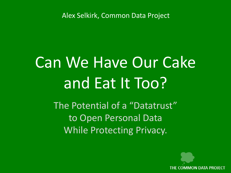Alex Selkirk, Common Data Project

# Can We Have Our Cake and Eat It Too?

The Potential of a "Datatrust" to Open Personal Data While Protecting Privacy.

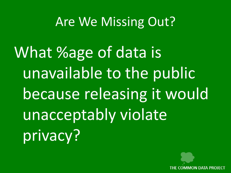### Are We Missing Out?

What %age of data is unavailable to the public because releasing it would unacceptably violate privacy?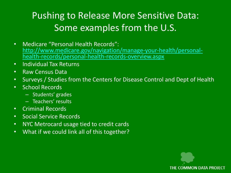### Pushing to Release More Sensitive Data: Some examples from the U.S.

- Medicare "Personal Health Records": [http://www.medicare.gov/navigation/manage-your-health/personal](http://www.medicare.gov/navigation/manage-your-health/personal-health-records/personal-health-records-overview.aspx)[health-records/personal-health-records-overview.aspx](http://www.medicare.gov/navigation/manage-your-health/personal-health-records/personal-health-records-overview.aspx)
- Individual Tax Returns
- Raw Census Data
- Surveys / Studies from the Centers for Disease Control and Dept of Health
- School Records
	- Students' grades
	- Teachers' results
- Criminal Records
- Social Service Records
- NYC Metrocard usage tied to credit cards
- What if we could link all of this together?

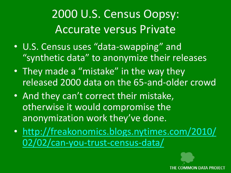### 2000 U.S. Census Oopsy: Accurate versus Private

- U.S. Census uses "data-swapping" and "synthetic data" to anonymize their releases
- They made a "mistake" in the way they released 2000 data on the 65-and-older crowd
- And they can't correct their mistake, otherwise it would compromise the anonymization work they've done.
- [http://freakonomics.blogs.nytimes.com/2010/](http://freakonomics.blogs.nytimes.com/2010/02/02/can-you-trust-census-data/) [02/02/can-you-trust-census-data/](http://freakonomics.blogs.nytimes.com/2010/02/02/can-you-trust-census-data/)

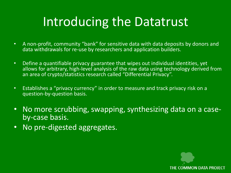# Introducing the Datatrust

- A non-profit, community "bank" for sensitive data with data deposits by donors and data withdrawals for re-use by researchers and application builders.
- Define a quantifiable privacy guarantee that wipes out individual identities, yet allows for arbitrary, high-level analysis of the raw data using technology derived from an area of crypto/statistics research called "Differential Privacy".
- Establishes a "privacy currency" in order to measure and track privacy risk on a question-by-question basis.
- No more scrubbing, swapping, synthesizing data on a caseby-case basis.
- No pre-digested aggregates.

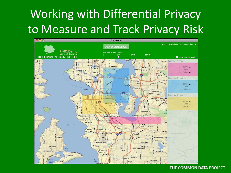# Working with Differential Privacy to Measure and Track Privacy Risk



#### THE COMMON DATA PROJECT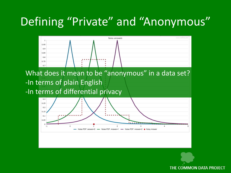### Defining "Private" and "Anonymous"



What does it mean to be "anonymous" in a data set? -In terms of plain English

-In terms of differential privacy



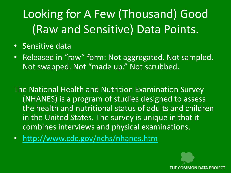## Looking for A Few (Thousand) Good (Raw and Sensitive) Data Points.

- Sensitive data
- Released in "raw" form: Not aggregated. Not sampled. Not swapped. Not "made up." Not scrubbed.

The National Health and Nutrition Examination Survey (NHANES) is a program of studies designed to assess the health and nutritional status of adults and children in the United States. The survey is unique in that it combines interviews and physical examinations.

• <http://www.cdc.gov/nchs/nhanes.htm>

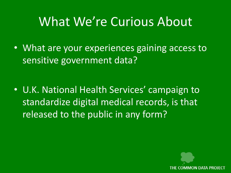### What We're Curious About

• What are your experiences gaining access to sensitive government data?

• U.K. National Health Services' campaign to standardize digital medical records, is that released to the public in any form?